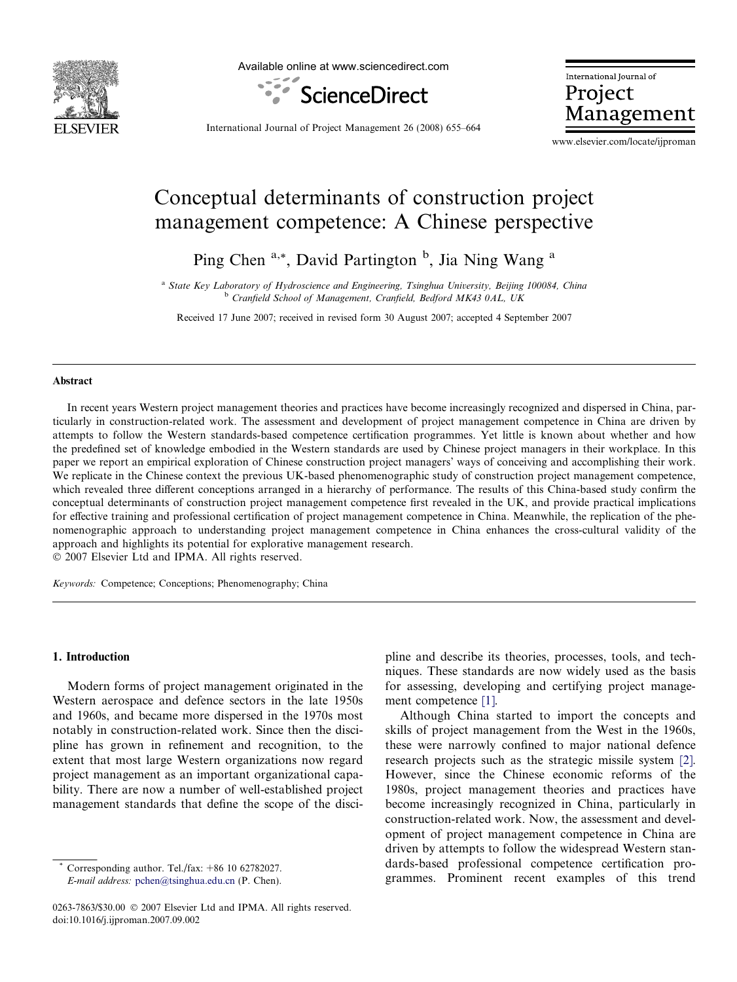

Available online at www.sciencedirect.com



International Journal of Project Management

International Journal of Project Management 26 (2008) 655–664

www.elsevier.com/locate/ijproman

# Conceptual determinants of construction project management competence: A Chinese perspective

Ping Chen<sup>a,\*</sup>, David Partington<sup>b</sup>, Jia Ning Wang<sup>a</sup>

<sup>a</sup> State Key Laboratory of Hydroscience and Engineering, Tsinghua University, Beijing 100084, China <sup>b</sup> Cranfield School of Management, Cranfield, Bedford MK43 0AL, UK

Received 17 June 2007; received in revised form 30 August 2007; accepted 4 September 2007

#### Abstract

In recent years Western project management theories and practices have become increasingly recognized and dispersed in China, particularly in construction-related work. The assessment and development of project management competence in China are driven by attempts to follow the Western standards-based competence certification programmes. Yet little is known about whether and how the predefined set of knowledge embodied in the Western standards are used by Chinese project managers in their workplace. In this paper we report an empirical exploration of Chinese construction project managers' ways of conceiving and accomplishing their work. We replicate in the Chinese context the previous UK-based phenomenographic study of construction project management competence, which revealed three different conceptions arranged in a hierarchy of performance. The results of this China-based study confirm the conceptual determinants of construction project management competence first revealed in the UK, and provide practical implications for effective training and professional certification of project management competence in China. Meanwhile, the replication of the phenomenographic approach to understanding project management competence in China enhances the cross-cultural validity of the approach and highlights its potential for explorative management research.

 $© 2007 Elsevier Ltd and IPMA. All rights reserved.$ 

Keywords: Competence; Conceptions; Phenomenography; China

## 1. Introduction

Modern forms of project management originated in the Western aerospace and defence sectors in the late 1950s and 1960s, and became more dispersed in the 1970s most notably in construction-related work. Since then the discipline has grown in refinement and recognition, to the extent that most large Western organizations now regard project management as an important organizational capability. There are now a number of well-established project management standards that define the scope of the disci-

Corresponding author. Tel./fax:  $+86$  10 62782027. E-mail address: [pchen@tsinghua.edu.cn](mailto:pchen@tsinghua.edu.cn) (P. Chen). pline and describe its theories, processes, tools, and techniques. These standards are now widely used as the basis for assessing, developing and certifying project management competence [\[1\].](#page--1-0)

Although China started to import the concepts and skills of project management from the West in the 1960s, these were narrowly confined to major national defence research projects such as the strategic missile system [\[2\].](#page--1-0) However, since the Chinese economic reforms of the 1980s, project management theories and practices have become increasingly recognized in China, particularly in construction-related work. Now, the assessment and development of project management competence in China are driven by attempts to follow the widespread Western standards-based professional competence certification programmes. Prominent recent examples of this trend

<sup>0263-7863/\$30.00 © 2007</sup> Elsevier Ltd and IPMA. All rights reserved. doi:10.1016/j.ijproman.2007.09.002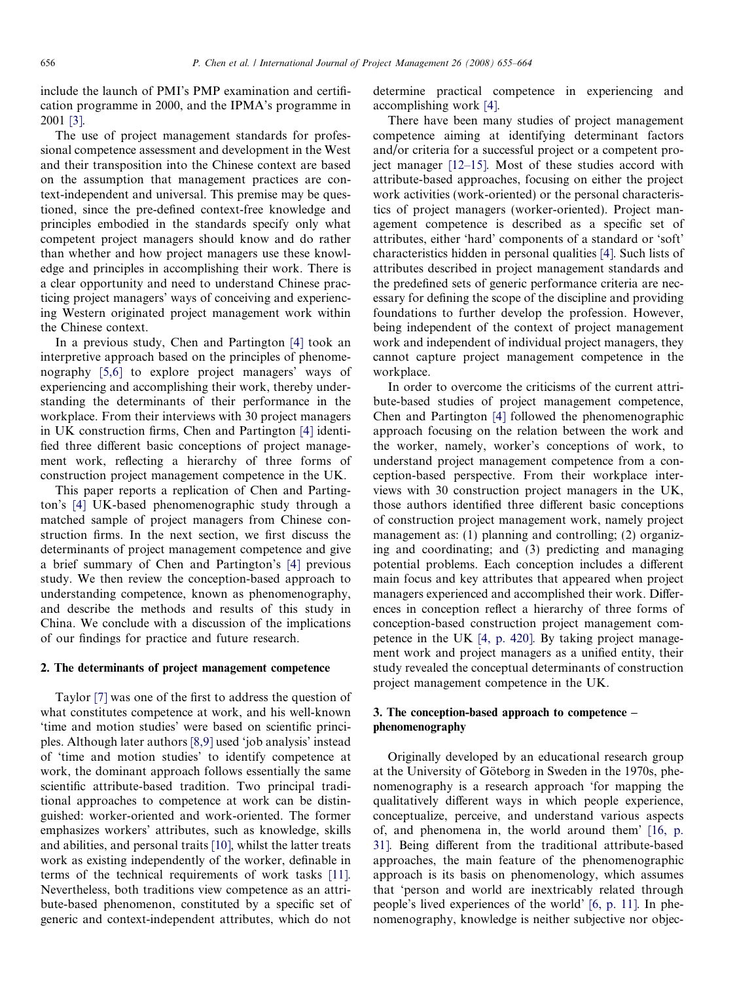include the launch of PMI's PMP examination and certification programme in 2000, and the IPMA's programme in 2001 [\[3\]](#page--1-0).

The use of project management standards for professional competence assessment and development in the West and their transposition into the Chinese context are based on the assumption that management practices are context-independent and universal. This premise may be questioned, since the pre-defined context-free knowledge and principles embodied in the standards specify only what competent project managers should know and do rather than whether and how project managers use these knowledge and principles in accomplishing their work. There is a clear opportunity and need to understand Chinese practicing project managers' ways of conceiving and experiencing Western originated project management work within the Chinese context.

In a previous study, Chen and Partington [\[4\]](#page--1-0) took an interpretive approach based on the principles of phenomenography [\[5,6\]](#page--1-0) to explore project managers' ways of experiencing and accomplishing their work, thereby understanding the determinants of their performance in the workplace. From their interviews with 30 project managers in UK construction firms, Chen and Partington [\[4\]](#page--1-0) identified three different basic conceptions of project management work, reflecting a hierarchy of three forms of construction project management competence in the UK.

This paper reports a replication of Chen and Partington's [\[4\]](#page--1-0) UK-based phenomenographic study through a matched sample of project managers from Chinese construction firms. In the next section, we first discuss the determinants of project management competence and give a brief summary of Chen and Partington's [\[4\]](#page--1-0) previous study. We then review the conception-based approach to understanding competence, known as phenomenography, and describe the methods and results of this study in China. We conclude with a discussion of the implications of our findings for practice and future research.

### 2. The determinants of project management competence

Taylor [\[7\]](#page--1-0) was one of the first to address the question of what constitutes competence at work, and his well-known 'time and motion studies' were based on scientific principles. Although later authors [\[8,9\]](#page--1-0) used 'job analysis' instead of 'time and motion studies' to identify competence at work, the dominant approach follows essentially the same scientific attribute-based tradition. Two principal traditional approaches to competence at work can be distinguished: worker-oriented and work-oriented. The former emphasizes workers' attributes, such as knowledge, skills and abilities, and personal traits [\[10\]](#page--1-0), whilst the latter treats work as existing independently of the worker, definable in terms of the technical requirements of work tasks [\[11\]](#page--1-0). Nevertheless, both traditions view competence as an attribute-based phenomenon, constituted by a specific set of generic and context-independent attributes, which do not determine practical competence in experiencing and accomplishing work [\[4\].](#page--1-0)

There have been many studies of project management competence aiming at identifying determinant factors and/or criteria for a successful project or a competent project manager [\[12–15\].](#page--1-0) Most of these studies accord with attribute-based approaches, focusing on either the project work activities (work-oriented) or the personal characteristics of project managers (worker-oriented). Project management competence is described as a specific set of attributes, either 'hard' components of a standard or 'soft' characteristics hidden in personal qualities [\[4\].](#page--1-0) Such lists of attributes described in project management standards and the predefined sets of generic performance criteria are necessary for defining the scope of the discipline and providing foundations to further develop the profession. However, being independent of the context of project management work and independent of individual project managers, they cannot capture project management competence in the workplace.

In order to overcome the criticisms of the current attribute-based studies of project management competence, Chen and Partington [\[4\]](#page--1-0) followed the phenomenographic approach focusing on the relation between the work and the worker, namely, worker's conceptions of work, to understand project management competence from a conception-based perspective. From their workplace interviews with 30 construction project managers in the UK, those authors identified three different basic conceptions of construction project management work, namely project management as: (1) planning and controlling; (2) organizing and coordinating; and (3) predicting and managing potential problems. Each conception includes a different main focus and key attributes that appeared when project managers experienced and accomplished their work. Differences in conception reflect a hierarchy of three forms of conception-based construction project management competence in the UK [\[4, p. 420\]](#page--1-0). By taking project management work and project managers as a unified entity, their study revealed the conceptual determinants of construction project management competence in the UK.

## 3. The conception-based approach to competence – phenomenography

Originally developed by an educational research group at the University of Göteborg in Sweden in the 1970s, phenomenography is a research approach 'for mapping the qualitatively different ways in which people experience, conceptualize, perceive, and understand various aspects of, and phenomena in, the world around them' [\[16, p.](#page--1-0) [31\]](#page--1-0). Being different from the traditional attribute-based approaches, the main feature of the phenomenographic approach is its basis on phenomenology, which assumes that 'person and world are inextricably related through people's lived experiences of the world' [\[6, p. 11\].](#page--1-0) In phenomenography, knowledge is neither subjective nor objec-